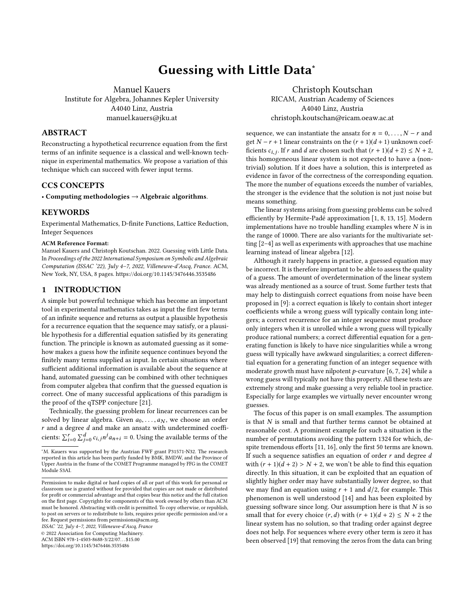# Guessing with Little Data<sup>∗</sup>

Manuel Kauers

Institute for Algebra, Johannes Kepler University A4040 Linz, Austria manuel.kauers@jku.at

# ABSTRACT

Reconstructing a hypothetical recurrence equation from the first terms of an infinite sequence is a classical and well-known technique in experimental mathematics. We propose a variation of this technique which can succeed with fewer input terms.

### CCS CONCEPTS

• Computing methodologies  $\rightarrow$  Algebraic algorithms.

#### **KEYWORDS**

Experimental Mathematics, D-finite Functions, Lattice Reduction, Integer Sequences

#### ACM Reference Format:

Manuel Kauers and Christoph Koutschan. 2022. Guessing with Little Data. In Proceedings of the 2022 International Symposium on Symbolic and Algebraic Computation (ISSAC '22), July 4–7, 2022, Villeneuve-d'Ascq, France. ACM, New York, NY, USA, [8](#page-7-0) pages.<https://doi.org/10.1145/3476446.3535486>

## 1 INTRODUCTION

A simple but powerful technique which has become an important tool in experimental mathematics takes as input the first few terms of an infinite sequence and returns as output a plausible hypothesis for a recurrence equation that the sequence may satisfy, or a plausible hypothesis for a differential equation satisfied by its generating function. The principle is known as automated guessing as it somehow makes a guess how the infinite sequence continues beyond the finitely many terms supplied as input. In certain situations where sufficient additional information is available about the sequence at hand, automated guessing can be combined with other techniques from computer algebra that confirm that the guessed equation is correct. One of many successful applications of this paradigm is the proof of the qTSPP conjecture [\[21\]](#page-7-1).

Technically, the guessing problem for linear recurrences can be solved by linear algebra. Given  $a_0, \ldots, a_N$ , we choose an order  $r$  and a degree  $d$  and make an ansatz with undetermined coefficients:  $\sum_{i=0}^{r} \sum_{j=0}^{d} c_{i,j} n^{j} a_{n+i} = 0$ . Using the available terms of the

ISSAC '22, July 4–7, 2022, Villeneuve-d'Ascq, France

© 2022 Association for Computing Machinery.

ACM ISBN 978-1-4503-8688-3/22/07. . . \$15.00

<https://doi.org/10.1145/3476446.3535486>

Christoph Koutschan RICAM, Austrian Academy of Sciences A4040 Linz, Austria christoph.koutschan@ricam.oeaw.ac.at

sequence, we can instantiate the ansatz for  $n = 0, \ldots, N - r$  and get  $N - r + 1$  linear constraints on the  $(r + 1)(d + 1)$  unknown coefficients  $c_{i,j}$ . If r and d are chosen such that  $(r + 1)(d + 2) \le N + 2$ , this homogeneous linear system is not expected to have a (nonthis homogeneous linear system is not expected to have a (nontrivial) solution. If it does have a solution, this is interpreted as evidence in favor of the correctness of the corresponding equation. The more the number of equations exceeds the number of variables, the stronger is the evidence that the solution is not just noise but means something.

The linear systems arising from guessing problems can be solved efficiently by Hermite-Padé approximation [\[1,](#page-7-2) [8,](#page-7-3) [13,](#page-7-4) [15\]](#page-7-5). Modern implementations have no trouble handling examples where  $N$  is in the range of 10000. There are also variants for the multivariate setting [\[2](#page-7-6)[–4\]](#page-7-7) as well as experiments with approaches that use machine learning instead of linear algebra [\[12\]](#page-7-8).

Although it rarely happens in practice, a guessed equation may be incorrect. It is therefore important to be able to assess the quality of a guess. The amount of overdetermination of the linear system was already mentioned as a source of trust. Some further tests that may help to distinguish correct equations from noise have been proposed in [\[9\]](#page-7-9): a correct equation is likely to contain short integer coefficients while a wrong guess will typically contain long integers; a correct recurrence for an integer sequence must produce only integers when it is unrolled while a wrong guess will typically produce rational numbers; a correct differential equation for a generating function is likely to have nice singularities while a wrong guess will typically have awkward singularities; a correct differential equation for a generating function of an integer sequence with moderate growth must have nilpotent  $p$ -curvature [\[6,](#page-7-10) [7,](#page-7-11) [24\]](#page-7-12) while a wrong guess will typically not have this property. All these tests are extremely strong and make guessing a very reliable tool in practice. Especially for large examples we virtually never encounter wrong guesses.

The focus of this paper is on small examples. The assumption is that  $N$  is small and that further terms cannot be obtained at reasonable cost. A prominent example for such a situation is the number of permutations avoiding the pattern 1324 for which, despite tremendous efforts [\[11,](#page-7-13) [16\]](#page-7-14), only the first 50 terms are known. If such a sequence satisfies an equation of order  $r$  and degree  $d$ with  $(r + 1)(d + 2) > N + 2$ , we won't be able to find this equation directly. In this situation, it can be exploited that an equation of slightly higher order may have substantially lower degree, so that we may find an equation using  $r + 1$  and  $d/2$ , for example. This phenomenon is well understood [\[14\]](#page-7-15) and has been exploited by guessing software since long. Our assumption here is that  $N$  is so small that for every choice  $(r, d)$  with  $(r + 1)(d + 2) \le N + 2$  the linear system has no solution, so that trading order against degree does not help. For sequences where every other term is zero it has been observed [\[19\]](#page-7-16) that removing the zeros from the data can bring

<sup>∗</sup>M. Kauers was supported by the Austrian FWF grant P31571-N32. The research reported in this article has been partly funded by BMK, BMDW, and the Province of Upper Austria in the frame of the COMET Programme managed by FFG in the COMET Module S3AI.

Permission to make digital or hard copies of all or part of this work for personal or classroom use is granted without fee provided that copies are not made or distributed for profit or commercial advantage and that copies bear this notice and the full citation on the first page. Copyrights for components of this work owned by others than ACM must be honored. Abstracting with credit is permitted. To copy otherwise, or republish, to post on servers or to redistribute to lists, requires prior specific permission and/or a fee. Request permissions from permissions@acm.org.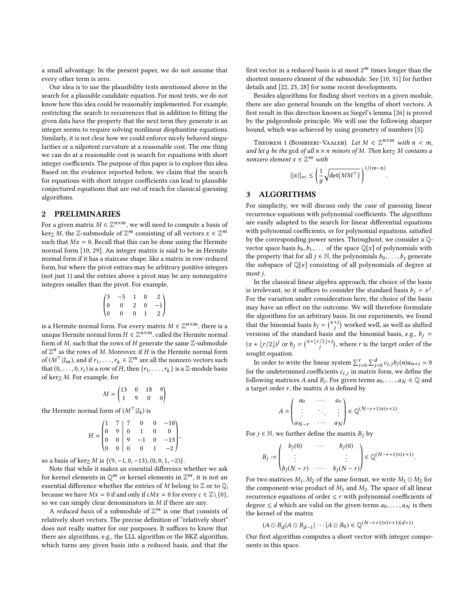a small advantage. In the present paper, we do not assume that every other term is zero.

Our idea is to use the plausibility tests mentioned above in the search for a plausible candidate equation. For most tests, we do not know how this idea could be reasonably implemented. For example, restricting the search to recurrences that in addition to fitting the given data have the property that the next term they generate is an integer seems to require solving nonlinear diophantine equations. Similarly, it is not clear how we could enforce nicely behaved singularities or a nilpotent curvature at a reasonable cost. The one thing we can do at a reasonable cost is search for equations with short integer coefficients. The purpose of this paper is to explore this idea. Based on the evidence reported below, we claim that the search for equations with short integer coefficients can lead to plausible conjectured equations that are out of reach for classical guessing algorithms.

#### 2 PRELIMINARIES

For a given matrix  $M \in \mathbb{Z}^{n \times m}$ , we will need to compute a basis of  $\ker M$ , the  $\mathbb{Z}_{\text{submodule}} \leq \mathbb{Z}^m$  consisting of all vectors  $x \in \mathbb{Z}^m$ ker<sub>Z</sub> M, the Z-submodule of  $\mathbb{Z}^m$  consisting of all vectors  $x \in \mathbb{Z}^m$ <br>such that  $Mx = 0$ . Becall that this can be done using the Hermite such that  $Mx = 0$ . Recall that this can be done using the Hermite normal form [\[10,](#page-7-17) [29\]](#page-7-18). An integer matrix is said to be in Hermite normal form if it has a staircase shape, like a matrix in row-reduced form, but where the pivot entries may be arbitrary positive integers (not just 1) and the entries above a pivot may be any nonnegative integers smaller than the pivot. For example,

$$
\begin{pmatrix}\n3 & -5 & 1 & 0 & 2 \\
0 & 0 & 2 & 0 & -1 \\
0 & 0 & 0 & 1 & 2\n\end{pmatrix}
$$

is a Hermite normal form. For every matrix  $M \in \mathbb{Z}^{n \times m}$ , there is a<br>unique Hermite normal form  $H \in \mathbb{Z}^{n \times m}$ , called the Hermite normal unique Hermite normal form  $H \in \mathbb{Z}^{n \times m}$ , called the Hermite normal<br>form of M, such that the rows of H generate the same Z-submodule form of  $M$ , such that the rows of  $H$  generate the same  $\mathbb{Z}$ -submodule of  $\mathbb{Z}^n$  as the rows of M. Moreover, if H is the Hermite normal form<br>of  $(M^{\top} | I)$  and if  $r_1 \in \mathbb{Z}^m$  are all the nonzero vectors such of  $(M^{\top}|I_m)$ , and if  $r_1, \ldots, r_k \in \mathbb{Z}^m$  are all the nonzero vectors such that  $(0, 0, r_1)$  is a row of H then  $\{r_n, r_n\}$  is a  $\mathbb{Z}$ -module basis that  $(0, \ldots, 0, r_i)$  is a row of H, then  $\{r_1, \ldots, r_k\}$  is a Z-module basis of ker- M. For example, for of ker $Z$  *M*. For example, for

$$
M = \begin{pmatrix} 13 & 0 & 18 & 9 \\ 1 & 9 & 0 & 0 \end{pmatrix}
$$

the Hermite normal form of  $(M<sup>T</sup>|I<sub>4</sub>)$  is

$$
H = \begin{pmatrix} 1 & 7 & 7 & 0 & 0 & -10 \\ 0 & 9 & 0 & 1 & 0 & 0 \\ 0 & 0 & 9 & -1 & 0 & -13 \\ 0 & 0 & 0 & 0 & 1 & -2 \end{pmatrix},
$$

so a basis of ker<sub>Z</sub> M is  $\{(9, -1, 0, -13), (0, 0, 1, -2)\}.$ <br>Note that while it makes an essential difference

Note that while it makes an essential difference whether we ask for kernel elements in  $\mathbb{Q}^m$  or kernel elements in  $\mathbb{Z}^m$ , it is not an essential difference whether the entries of  $M$  belong to  $\mathbb Z$  or to  $\mathbb Q$ , because we have  $Mx = 0$  if and only if  $cMx = 0$  for every  $c \in \mathbb{Z} \setminus \{0\},$ so we can simply clear denominators in  $M$  if there are any.

A *reduced basis* of a submodule of  $\mathbb{Z}^m$  is one that consists of relatively short vectors. The precise definition of "relatively short" does not really matter for our purposes. It suffices to know that there are algorithms, e.g., the LLL algorithm or the BKZ algorithm, which turns any given basis into a reduced basis, and that the

first vector in a reduced basis is at most  $2^m$  times longer than the shortest nonzero element of the submodule. See [\[10,](#page-7-17) [31\]](#page-7-19) for further details and [\[22,](#page-7-20) [23,](#page-7-21) [28\]](#page-7-22) for some recent developments.

Besides algorithms for finding short vectors in a given module, there are also general bounds on the lengths of short vectors. A first result in this direction known as Siegel's lemma [\[26\]](#page-7-23) is proved by the pidgeonhole principle. We will use the following sharper bound, which was achieved by using geometry of numbers [\[5\]](#page-7-24):

<span id="page-1-0"></span>THEOREM 1 (BOMBIERI–VAALER). Let  $M \in \mathbb{Z}^{n \times m}$  with  $n \lt m$ ,<br>d let a he the sod of all  $n \times n$  minors of M. Then kerg M. contains a and let q be the gcd of all  $n \times n$  minors of M. Then ker $\mathbb{Z}$  M contains a nonzero element  $x \in \mathbb{Z}^m$  with

$$
||x||_{\infty} \le \left(\frac{1}{g}\sqrt{\det(MM^{\top})}\right)^{1/(m-n)}
$$

# 3 ALGORITHMS

For simplicity, we will discuss only the case of guessing linear recurrence equations with polynomial coefficients. The algorithms are easily adapted to the search for linear differential equations with polynomial coefficients, or for polynomial equations, satisfied by the corresponding power series. Throughout, we consider a Qvector space basis  $b_0, b_1, \ldots$  of the space  $\mathbb{Q}[x]$  of polynomials with the property that for all  $j \in \mathbb{N}$ , the polynomials  $b_0, \ldots, b_j$  generate the subspace of  $\mathbb{Q}[x]$  consisting of all polynomials of degree at most j.

In the classical linear algebra approach, the choice of the basis is irrelevant, so it suffices to consider the standard basis  $b_j = x^j$ .<br>For the variation under consideration here the choice of the basis For the variation under consideration here, the choice of the basis may have an effect on the outcome. We will therefore formulate the algorithms for an arbitrary basis. In our experiments, we found that the binomial basis  $b_j = \binom{x+j}{j}$ <br>versions of the standard basis a worked well, as well as shifted versions of the standard basis and the binomial basis, e.g.,  $b_j =$  $(x + \lfloor r/2 \rfloor)^j$  or  $b_j = {x + \lfloor r/2 \rfloor + j}$ , where r is the target order of the j sought equation.

In order to write the linear system  $\sum_{i=0}^{r} \sum_{j=0}^{d} c_{i,j} b_j(n) a_{n+i} = 0$ <br>the undetermined coefficients  $c_i$ , in matrix form, we define the for the undetermined coefficients  $c_{i,j}$  in matrix form, we define the following matrices A and B. For given terms  $a_0 = 0$  and  $\theta_0 = 0$  and following matrices A and  $B_j$ . For given terms  $a_0, \ldots, a_N \in \mathbb{Q}$  and a target order r, the matrix A is defined by a target order  $r$ , the matrix  $A$  is defined by

$$
A = \begin{pmatrix} a_0 & \cdots & a_r \\ \vdots & \ddots & \vdots \\ a_{N-r} & \cdots & a_N \end{pmatrix} \in \mathbb{Q}^{(N-r+1)\times(r+1)}.
$$

 $\begin{cases} a_{N-r} & \cdots & a_N \end{cases}$ <br>For *j* ∈ ℕ, we further define the matrix *B<sub>j</sub>* by

$$
B_j := \begin{pmatrix} b_j(0) & \cdots & b_j(0) \\ \vdots & & \vdots \\ b_j(N-r) & \cdots & b_j(N-r) \end{pmatrix} \in \mathbb{Q}^{(N-r+1)\times(r+1)}.
$$

 $\left\{ \begin{array}{ll} b_j(N-r) & \cdots & b_j(N-r) \end{array} \right\}$ <br>For two matrices  $M_1, M_2$  of the same format, we write  $M_1 \odot M_2$  for the component-wise product of  $M_1$  and  $M_2$ . The space of all linear the component-wise product of  $M_1$  and  $M_2$ . The space of all linear recurrence equations of order  $\leq r$  with polynomial coefficients of degree  $\leq d$  which are valid on the given terms  $a_0, \ldots, a_N$  is then the kernel of the matrix

$$
(A \odot B_d | A \odot B_{d-1} | \cdots | A \odot B_0) \in \mathbb{Q}^{(N-r+1)\times (r+1)(d+1)}.
$$

Our first algorithm computes a short vector with integer components in this space.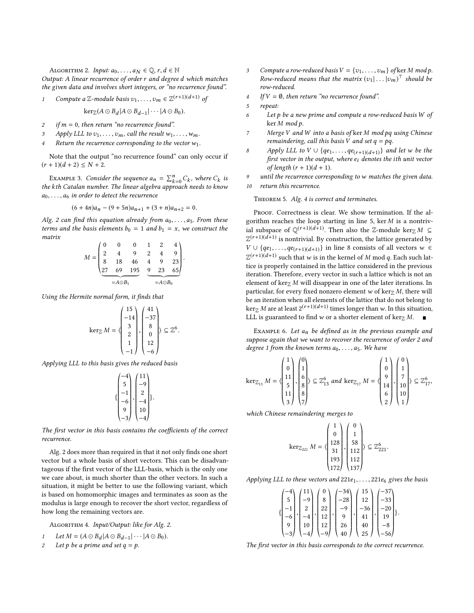<span id="page-2-0"></span>ALGORITHM 2. Input:  $a_0, \ldots, a_N \in \mathbb{Q}, r, d \in \mathbb{N}$ 

Output: A linear recurrence of order r and degree d which matches the given data and involves short integers, or "no recurrence found".

1 Compute a Z-module basis 
$$
v_1, \ldots, v_m \in \mathbb{Z}^{(r+1)(d+1)}
$$
 of

 $\text{ker}_{\mathbb{Z}}(A \odot B_d | A \odot B_{d-1} | \cdots | A \odot B_0).$ 

- 2 if  $m = 0$ , then return "no recurrence found".<br>3 Apply LLL to  $v_1$   $v_m$  call the result wi
- Apply LLL to  $v_1, \ldots, v_m$ , call the result  $w_1, \ldots, w_m$ .
- Return the recurrence corresponding to the vector  $w_1$ .

Note that the output "no recurrence found" can only occur if  $(r + 1)(d + 2) \leq N + 2.$ 

EXAMPLE 3. Consider the sequence  $a_n = \sum_{k=0}^n C_k$ , where  $C_k$  is<br>the Catalan number. The linear algebra approach needs to know EXAMPLE 5. Consider the sequence  $a_n = \sum_{k=0} C_k$ , where  $C_k$  is<br>the kth Catalan number. The linear algebra approach needs to know  $a_0, \ldots, a_6$  in order to detect the recurrence

$$
(6+4n)a_n - (9+5n)a_{n+1} + (3+n)a_{n+2} = 0.
$$

Alg. [2](#page-2-0) can find this equation already from  $a_0, \ldots, a_5$ . From these terms and the basis elements  $b_0 = 1$  and  $b_1 = x$ , we construct the matrix  $\overline{0}$  0

$$
M = \begin{pmatrix} 0 & 0 & 0 & 1 & 2 & 4 \\ 2 & 4 & 9 & 2 & 4 & 9 \\ 8 & 18 & 46 & 4 & 9 & 23 \\ 27 & 69 & 195 & 9 & 23 & 65 \\ \hline -A \odot B_1 & & & & -A \odot B_0 \end{pmatrix}
$$

Using the Hermite normal form, it finds that

$$
\ker_{\mathbb{Z}} M = \left\langle \begin{array}{c} 15 \\ -14 \\ 3 \\ 2 \\ 1 \\ -1 \end{array} \right\rangle, \left\langle \begin{array}{c} 41 \\ -37 \\ 8 \\ 0 \\ 12 \\ -6 \end{array} \right\rangle \subseteq \mathbb{Z}^6.
$$

*Applying LLL to this basis gives the reduced basis* 

$$
\left\{\begin{matrix} -4 \\ 5 \\ -1 \\ -6 \\ 9 \\ -3 \end{matrix}\right\} \begin{matrix} 11 \\ -9 \\ 2 \\ -4 \\ 10 \\ -4 \end{matrix} \right\}.
$$

The first vector in this basis contains the coefficients of the correct recurrence.

Alg. [2](#page-2-0) does more than required in that it not only finds one short vector but a whole basis of short vectors. This can be disadvantageous if the first vector of the LLL-basis, which is the only one we care about, is much shorter than the other vectors. In such a situation, it might be better to use the following variant, which is based on homomorphic images and terminates as soon as the modulus is large enough to recover the short vector, regardless of how long the remaining vectors are.

<span id="page-2-1"></span>ALGORITHM 4. Input/Output: like for Alg. [2.](#page-2-0)

- 1 Let  $M = (A \odot B_d | A \odot B_{d-1} | \cdots | A \odot B_0).$ <br>2 Let b he s prime and set  $a = b$ .
- Let p be a prime and set  $q = p$ .
- 3 Compute a row-reduced basis  $V = \{v_1, \ldots, v_m\}$  of ker M mod p. Row-reduced means that the matrix  $(v_1 | \dots | v_m)^\top$  should be<br>row-reduced row-reduced.
- 4 If  $V = \emptyset$ , then return "no recurrence found".<br>5 repeat:

- <sup>6</sup> Let p be a new prime and compute a row-reduced basis W of ker M mod p.
- <sup>7</sup> Merge <sup>V</sup> and <sup>W</sup> into a basis of ker <sup>M</sup> mod pq using Chinese remaindering, call this basis V and set  $q = pq$ .
- 8 Apply LLL to V ∪ {qe<sub>1</sub>, ..., qe<sub>(r+1)(d+1)</sub>} and let w be the first vector in the output where e, denotes the ith unit vector first vector in the output, where  $e_i$  denotes the ith unit vector of length  $(r + 1)(d + 1)$ .
- 9 until the recurrence corresponding to w matches the given data.<br>10 return this recurrence return this recurrence.

THEOREM 5. Alg. [4](#page-2-1) is correct and terminates.

PROOF. Correctness is clear. We show termination. If the algorithm reaches the loop starting in line 5,  $\ker M$  is a nontrivial subspace of  $\mathbb{Q}^{(r+1)(d+1)}$ . Then also the Z-module kerz  $M \subseteq \mathbb{Z}^{(r+1)(d+1)}$  is nontrivial. By construction, the lattice generated by  $\mathbb{Z}^{(r+1)(d+1)}$  is nontrivial. By construction, the lattice generated by  $V \cup \{qe_1, \ldots, qe_{(r+1)(d+1)}\}$  in line 8 consists of all vectors  $w \in \pi(r+1)(d+1)$  and the latter is in the large of M and a Fight such latt  $\mathbb{Z}^{(r+1)(d+1)}$  such that w is in the kernel of M mod q. Each such lattice is properly contained in the lattice considered in the previous iteration. Therefore, every vector in such a lattice which is not an element of ker $Z$  M will disappear in one of the later iterations. In particular, for every fixed nonzero element w of ker $\mathbb{Z}$  M, there will be an iteration when all elements of the lattice that do not belong to  $\ker_{\mathbb{Z}} M$  are at least  $2^{(r+1)(d+1)}$  times longer than w. In this situation,<br>III is guaranteed to find w or a shorter element of kerg  $M$ LLL is guaranteed to find w or a shorter element of ker $\mathbb{Z}$  M.

EXAMPLE 6. Let  $a_n$  be defined as in the previous example and suppose again that we want to recover the recurrence of order 2 and degree 1 from the known terms  $a_0, \ldots, a_5$ . We have

$$
\ker_{\mathbb{Z}_{13}} M = \begin{pmatrix} 1 \\ 0 \\ 11 \\ 5 \\ 11 \\ 3 \end{pmatrix}, \begin{pmatrix} 0 \\ 1 \\ 6 \\ 8 \\ 7 \\ 7 \end{pmatrix} \subseteq \mathbb{Z}_{13}^{6} \text{ and } \ker_{\mathbb{Z}_{17}} M = \begin{pmatrix} 1 \\ 0 \\ 9 \\ 14 \\ 6 \\ 2 \end{pmatrix}, \begin{pmatrix} 0 \\ 1 \\ 7 \\ 10 \\ 10 \\ 1 \end{pmatrix} \subseteq \mathbb{Z}_{17}^{6},
$$

which Chinese remaindering merges to

$$
\ker \mathbb{Z}_{221} M = \left\langle \begin{pmatrix} 1 \\ 0 \\ 128 \\ 31 \\ 31 \\ 193 \\ 172 \end{pmatrix}, \begin{pmatrix} 0 \\ 1 \\ 58 \\ 112 \\ 112 \\ 137 \end{pmatrix} \right\rangle \subseteq \mathbb{Z}_{221}^6.
$$

Applying LLL to these vectors and  $221e_1, \ldots, 221e_6$  gives the basis

$$
\left\{\begin{matrix} -4 \\ 5 \\ -1 \\ -6 \\ -9 \\ -3 \end{matrix}\right\} \begin{pmatrix} 11 \\ -9 \\ 2 \\ -4 \\ 10 \\ -4 \end{pmatrix}, \begin{matrix} 0 \\ 8 \\ 22 \\ 22 \\ 12 \\ 12 \\ -9 \end{matrix}\right\}, \begin{matrix} -34 \\ -28 \\ -9 \\ -9 \\ 40 \\ 40 \end{matrix}, \begin{matrix} 15 \\ 12 \\ -36 \\ 41 \\ 49 \\ 25 \end{matrix}, \begin{matrix} -37 \\ -33 \\ -20 \\ 19 \\ -8 \\ -56 \end{matrix} \right\}.
$$

The first vector in this basis corresponds to the correct recurrence.

repeat: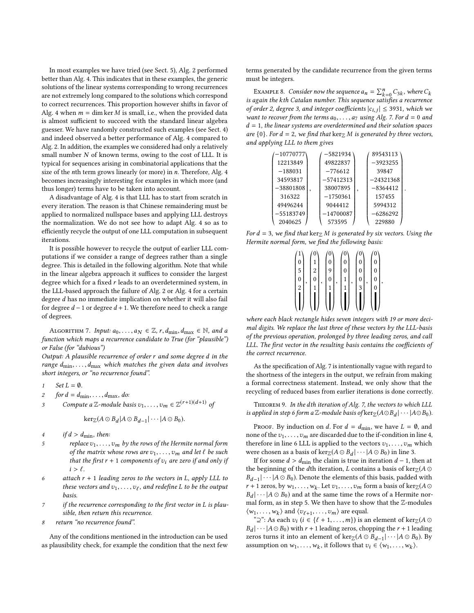In most examples we have tried (see Sect. [5\)](#page-5-0), Alg. [2](#page-2-0) performed better than Alg. [4.](#page-2-1) This indicates that in these examples, the generic solutions of the linear systems corresponding to wrong recurrences are not extremely long compared to the solutions which correspond to correct recurrences. This proportion however shifts in favor of Alg. [4](#page-2-1) when  $m = \dim \ker M$  is small, i.e., when the provided data is almost sufficient to succeed with the standard linear algebra guesser. We have randomly constructed such examples (see Sect. [4\)](#page-4-0) and indeed observed a better performance of Alg. [4](#page-2-1) compared to Alg. [2.](#page-2-0) In addition, the examples we considered had only a relatively small number N of known terms, owing to the cost of LLL. It is typical for sequences arising in combinatorial applications that the size of the nth term grows linearly (or more) in n. Therefore, Alg. [4](#page-2-1) becomes increasingly interesting for examples in which more (and thus longer) terms have to be taken into account.

A disadvantage of Alg. [4](#page-2-1) is that LLL has to start from scratch in every iteration. The reason is that Chinese remaindering must be applied to normalized nullspace bases and applying LLL destroys the normalization. We do not see how to adapt Alg. [4](#page-2-1) so as to efficiently recycle the output of one LLL computation in subsequent iterations.

It is possible however to recycle the output of earlier LLL computations if we consider a range of degrees rather than a single degree. This is detailed in the following algorithm. Note that while in the linear algebra approach it suffices to consider the largest degree which for a fixed  $r$  leads to an overdetermined system, in the LLL-based approach the failure of Alg. [2](#page-2-0) or Alg. [4](#page-2-1) for a certain degree d has no immediate implication on whether it will also fail for degree  $d-1$  or degree  $d+1$ . We therefore need to check a range of degrees.

<span id="page-3-0"></span>ALGORITHM 7. Input:  $a_0, \ldots, a_N \in \mathbb{Z}$ ,  $r, d_{\min}, d_{\max} \in \mathbb{N}$ , and a function which maps a recurrence candidate to True (for "plausible") or False (for "dubious")

Output: A plausible recurrence of order r and some degree d in the range  $d_{\min}, \ldots, d_{\max}$  which matches the given data and involves short integers, or "no recurrence found".

1 Set  $L = \emptyset$ .<br>2 for  $d = d_{rr}$ 

for  $d = d_{\min}, \ldots, d_{\max}, d_0$ :

$$
3 \tCompute a \mathbb{Z} \text{-module basis } v_1, \dots, v_m \in \mathbb{Z}^{(r+1)(d+1)} \text{ of}
$$

$$
\ker_{\mathbb{Z}}(A\odot B_d|A\odot B_{d-1}|\cdots|A\odot B_0).
$$

- 4 if  $d > d_{\text{min}}$ , then:<br>5 replace  $v_{1}, \ldots$
- replace  $v_1, \ldots, v_m$  by the rows of the Hermite normal form of the matrix whose rows are  $v_1, \ldots, v_m$  and let  $\ell$  be such that the first  $r + 1$  components of  $v_i$  are zero if and only if  $i > \ell$ .
- 6 attach  $r + 1$  leading zeros to the vectors in L, apply LLL to these vectors and  $v_1, \ldots, v_\ell$ , and redefine L to be the output hasis basis.
- <sup>7</sup> if the recurrence corresponding to the first vector in <sup>L</sup> is plausible, then return this recurrence.
- 8 return "no recurrence found".

Any of the conditions mentioned in the introduction can be used as plausibility check, for example the condition that the next few terms generated by the candidate recurrence from the given terms must be integers.

EXAMPLE 8. Consider now the sequence  $a_n = \sum_{k=0}^n C_{3k}$ , where  $C_k$ <br>again the kth Catalan number. This sequence satisfies a recurrence EXAMPLE 8. Consider now the sequence  $a_n = \sum_{k=0} C_{3k}$ , where  $C_k$ <br>is again the kth Catalan number. This sequence satisfies a recurrence<br>of order 2, desree 3, and integer coefficients  $|c_{k+1}| < 3931$ , which we of order 2, degree 3, and integer coefficients  $|c_{i,j}| \leq 3931$ , which we<br>want to recover from the terms  $a_0$ ,  $a_2$  using  $Alg \leq Ecr d = 0$  and want to recover from the terms  $a_0, \ldots, a_7$  using Alg. [7.](#page-3-0) For  $d = 0$  and  $d = 1$ , the linear systems are overdetermined and their solution spaces are  $\{0\}$ . For  $d = 2$ , we find that  $\ker_{\mathbb{Z}} M$  is generated by three vectors, and applying LLL to them gives

| $-10770777$ | $-5821934$  | 89543113    |
|-------------|-------------|-------------|
| 12213849    | 49822837    | $-3923255$  |
| $-188031$   | $-776612$   | 39847       |
| 34593817    | $-57412313$ | $-24321368$ |
| $-38801808$ | 38007895    | $-8364412$  |
| 316322      | $-1750361$  | 157455      |
| 49496244    | 9044412     | 5994312     |
| $-55183749$ | $-14700087$ | $-6286292$  |
| 2040625     | 573595      | 229880      |

For  $d = 3$ , we find that  $\ker_{\mathbb{Z}} M$  is generated by six vectors. Using the Hermite normal form we find the following basis: Hermite normal form, we find the following basis:

| $\boldsymbol{0}$<br>$\parallel$<br>$\boldsymbol{0}$<br>$\overline{\mathbf{c}}$ | 2 <sub>1</sub><br>$\bf{0}$ | $\boldsymbol{0}$<br>$\boldsymbol{0}$ | , | $\boldsymbol{0}$<br>$\mathbf{1}$ | $\boldsymbol{0}$<br>$\vert 0 \vert$<br>$\left  \begin{array}{c} 3 \\ 1 \end{array} \right $ | 0<br>$\begin{pmatrix} 0 \\ 1 \end{pmatrix}$ | ļ, |
|--------------------------------------------------------------------------------|----------------------------|--------------------------------------|---|----------------------------------|---------------------------------------------------------------------------------------------|---------------------------------------------|----|
|                                                                                |                            |                                      |   |                                  |                                                                                             |                                             |    |

where each black rectangle hides seven integers with 19 or more decimal digits. We replace the last three of these vectors by the LLL-basis of the previous operation, prolonged by three leading zeros, and call LLL. The first vector in the resulting basis contains the coefficients of the correct recurrence.

As the specification of Alg. [7](#page-3-0) is intentionally vague with regard to the shortness of the integers in the output, we refrain from making a formal correctness statement. Instead, we only show that the recycling of reduced bases from earlier iterations is done correctly.

THEOREM 9. In the dth iteration of Alg. [7,](#page-3-0) the vectors to which LLL is applied in step 6 form a Z-module basis of  $\ker_{\mathbb{Z}}(A \odot B_d | \cdots | A \odot B_0)$ .

PROOF. By induction on d. For  $d = d_{\text{min}}$ , we have  $L = \emptyset$ , and none of the  $v_1, \ldots, v_m$  are discarded due to the if-condition in line 4, therefore in line 6 LLL is applied to the vectors  $v_1, \ldots, v_m$  which were chosen as a basis of ker<sub>Z</sub>( $A \odot B_d | \cdots | A \odot B_0$ ) in line 3.<br>If for some  $d > d$  : the claim is true in iteration  $d = 1$  the

If for some  $d > d_{\text{min}}$  the claim is true in iteration  $d - 1$ , then at the beginning of the dth iteration, L contains a basis of ker $Z(A \odot$  $B_{d-1}$  · ·  $|A \odot B_0|$ . Denote the elements of this basis, padded with  $r + 1$  zeros by  $W_1$ . Let  $v_1$   $v_2$   $v_3$  form a basis of kerg(A  $\odot$ r + 1 zeros, by  $w_1, \ldots, w_k$ . Let  $v_1, \ldots, v_m$  form a basis of ker  $\mathbb{Z}(A \odot B_1) \ldots (A \odot B_n)$  and at the same time the rows of a Hermite por  $\frac{du}{dt}$  are  $\frac{du}{dt}$  are all the same time the series of a securities are mal form, as in step 5. We then have to show that the  $\mathbb{Z}$ -modules  $|B_d| \cdots | A \odot B_0$  and at the same time the rows of a Hermite nor-⟨w1, . . . ,wk ⟩ and ⟨vℓ+<sup>1</sup> , . . . ,vm⟩ are equal.

" $\supseteq$ ": As each  $v_i$  ( $i \in \{\ell + 1, ..., m\}$ ) is an element of ker<sub>Z</sub>( $A \odot$ <br> $\bigcup_{i=1}^{\infty} A \odot B_i$ ) with  $r + 1$  leading zeros, chapping the  $r + 1$  leading  $B_{\text{g}}$  is the server turns it into an element of kerz( $A \odot B_{d-1}$ | ···  $|A \odot B_0|$ ). By  $|B_d| \cdots | A \odot B_0$ ) with  $r + 1$  leading zeros, chopping the  $r + 1$  leading assumption on  $w_1, \ldots, w_k$ , it follows that  $v_i \in \langle w_1, \ldots, w_k \rangle$ .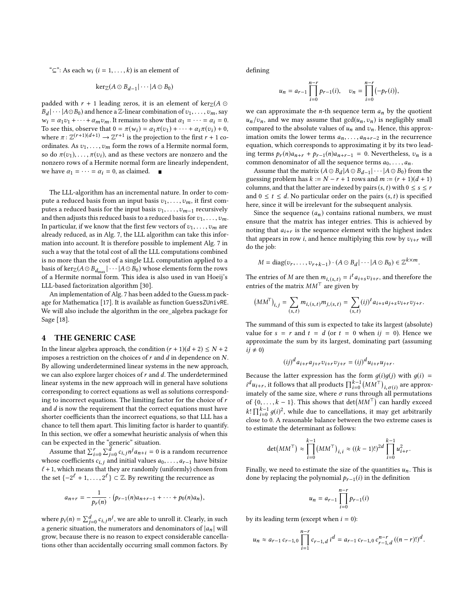" $\subseteq$ ": As each  $w_i$  ( $i = 1, ..., k$ ) is an element of

$$
\ker_{\mathbb{Z}}(A\odot B_{d-1}|\cdots|A\odot B_0)
$$

padded with  $r + 1$  leading zeros, it is an element of ker $\mathbb{Z}(A \odot$  $\alpha_1 = \alpha_1 v_1 + \cdots + \alpha_m v_m$ . It remains to show that  $\alpha_1 = \cdots = \alpha_i = 0$ .<br>
To see this observe that  $0 = \pi(w_1) - \alpha_i \pi(z_1) + \cdots + \alpha_i \pi(z_i) + 0$ .  $|B_d| \cdots | A \odot B_0$  and hence a Z-linear combination of  $v_1, \ldots, v_m$ , say To see this, observe that  $0 = \pi(w_i) = \alpha_1 \pi(v_1) + \cdots + \alpha_i \pi(v_i) + 0$ , where  $\pi: \mathbb{Z}^{(r+1)(d+1)} \to \mathbb{Z}^{r+1}$  is the projection to the first  $r + 1$  coordinates. As  $z_1$ ,  $z_2$ , form the rows of a Hermite normal form ordinates. As  $v_1, \ldots, v_m$  form the rows of a Hermite normal form, so do  $\pi(v_1), \ldots, \pi(v_i)$ , and as these vectors are nonzero and the nonzero rows of a Hermite normal form are linearly independent, we have  $\alpha_1 = \cdots = \alpha_i = 0$ , as claimed.  $\blacksquare$ 

The LLL-algorithm has an incremental nature. In order to compute a reduced basis from an input basis  $v_1, \ldots, v_m$ , it first computes a reduced basis for the input basis  $v_1, \ldots, v_{m-1}$  recursively and then adjusts this reduced basis to a reduced basis for  $v_1, \ldots, v_m$ . In particular, if we know that the first few vectors of  $v_1, \ldots, v_m$  are already reduced, as in Alg. [7,](#page-3-0) the LLL algorithm can take this information into account. It is therefore possible to implement Alg. [7](#page-3-0) in such a way that the total cost of all the LLL computations combined is no more than the cost of a single LLL computation applied to a basis of  $\ker_{\mathbb{Z}}(A \odot B_{d_{\text{max}}} | \cdots | A \odot B_0)$  whose elements form the rows<br>of a Hermite normal form. This idea is also used in van Hoeii's of a Hermite normal form. This idea is also used in van Hoeij's LLL-based factorization algorithm [\[30\]](#page-7-25).

An implementation of Alg. [7](#page-3-0) has been added to the Guess.m package for Mathematica [\[17\]](#page-7-26). It is available as function GuessZUnivRE. We will also include the algorithm in the ore\_algebra package for Sage [\[18\]](#page-7-27).

## <span id="page-4-0"></span>4 THE GENERIC CASE

In the linear algebra approach, the condition  $(r + 1)(d + 2) \le N + 2$ imposes a restriction on the choices of  $r$  and  $d$  in dependence on  $N$ . By allowing underdetermined linear systems in the new approach, we can also explore larger choices of  $r$  and  $d$ . The underdetermined linear systems in the new approach will in general have solutions corresponding to correct equations as well as solutions corresponding to incorrect equations. The limiting factor for the choice of  $r$ and  $d$  is now the requirement that the correct equations must have shorter coefficients than the incorrect equations, so that LLL has a chance to tell them apart. This limiting factor is harder to quantify. In this section, we offer a somewhat heuristic analysis of when this can be expected in the "generic" situation.

Assume that  $\sum_{i=0}^{r} \sum_{j=0}^{d} c_{i,j} n^j a_{n+i} = 0$  is a random recurrence<br>lose coefficients  $c_i$  ; and initial values  $a_0$ whose coefficients  $c_{i,j}$  and initial values  $a_0, \ldots, a_{r-1}$  have bitsize  $l + 1$ , which means that they are randomly (uniformly) chosen from the set  $\{-2^{\ell} + 1, \ldots, 2^{\ell}\} \subset \mathbb{Z}$ . By rewriting the recurrence as

$$
a_{n+r}=-\frac{1}{p_r(n)}\cdot (p_{r-1}(n)a_{n+r-1}+\cdots+p_0(n)a_n),
$$

where  $p_i(n) = \sum_{j=0}^{d} c_{i,j} n^j$ , we are able to unroll it. Clearly, in such a generic situation, the numerators and denominators of  $|a_n|$  will a generic situation, the numerators and denominators of  $|a_n|$  will<br>grow because there is no reason to expect considerable cancellagrow, because there is no reason to expect considerable cancellations other than accidentally occurring small common factors. By

defining

$$
u_n = a_{r-1} \prod_{i=0}^{n-r} p_{r-1}(i), \quad v_n = \prod_{i=0}^{n-r} (-p_r(i)),
$$

we can approximate the *n*-th sequence term  $a_n$  by the quotient  $u_n/v_n$ , and we may assume that  $gcd(u_n,v_n)$  is negligibly small compared to the absolute values of  $u_n$  and  $v_n$ . Hence, this approximation omits the lower terms  $a_n, \ldots, a_{n+r-2}$  in the recurrence equation, which corresponds to approximating it by its two leading terms  $p_r(n)a_{n+r} + p_{r-1}(n)a_{n+r-1} = 0$ . Nevertheless,  $v_n$  is a common denominator of all the sequence terms  $a_0, \ldots, a_n$ .

Assume that the matrix  $(A \odot B_d | A \odot B_{d-1} | \cdots | A \odot B_0)$  from the essing problem has  $k := N - r + 1$  rows and  $m := (r + 1)(d + 1)$ guessing problem has  $k := N - r + 1$  rows and  $m := (r + 1)(d + 1)$ columns, and that the latter are indexed by pairs  $(s, t)$  with  $0 \le s \le r$ and  $0 \le t \le d$ . No particular order on the pairs  $(s, t)$  is specified here, since it will be irrelevant for the subsequent analysis.

Since the sequence  $(a_n)$  contains rational numbers, we must ensure that the matrix has integer entries. This is achieved by noting that  $a_{i+r}$  is the sequence element with the highest index that appears in row *i*, and hence multiplying this row by  $v_{i+r}$  will do the job:

$$
M = diag(v_r, \ldots, v_{r+k-1}) \cdot (A \odot B_d | \cdots | A \odot B_0) \in \mathbb{Z}^{k \times m}.
$$

The entries of M are then  $m_{i,(s,t)} = i^t a_{i+s} v_{i+r}$ , and therefore the entries of the matrix  $MM^{\top}$  are given by entries of the matrix  $MM<sup>T</sup>$  are given by

$$
(MMT)i,j = \sum_{(s,t)} m_{i,(s,t)} m_{j,(s,t)} = \sum_{(s,t)} (ij)t ai+s aj+s vi+r vj+r.
$$

The summand of this sum is expected to take its largest (absolute) value for  $s = r$  and  $t = d$  (or  $t = 0$  when  $ij = 0$ ). Hence we approximate the sum by its largest, dominating part (assuming  $ij \neq 0$ 

$$
(ij)^d a_{i+r} a_{j+r} v_{i+r} v_{j+r} = (ij)^d u_{i+r} u_{j+r}.
$$

Because the latter expression has the form  $g(i)g(j)$  with  $g(i)$  = *i*  $u_{i+r}$ , it follows that all products  $\prod_{i=0}^{\lfloor N/M \rfloor} \left( \frac{n}{j} \right)$  are approximately of the same size, where  $\sigma$  runs through all permutations of  $\frac{1}{2}$   $k = 1$ . This shows that  $\det(MM^T)$  can hardly exceed  $d_{u_{i+r}}$ , it follows that all products  $\prod_{i=0}^{k-1} (MM^{\top})_{i,\sigma(i)}$  are approx-<br>mately of the same size, where  $\sigma$  runs through all permutations of  $\{0, \ldots, k-1\}$ . This shows that  $\det(MM^{\top})$  can hardly exceed k!  $\prod_{i=0}^{k-1} g(i)^2$ , while due to cancellations, it may get arbitrarily close to 0.4 reasonable belonge between the two extreme cases is  $k! \prod_{i=0}^{\infty} g(i)^{e}$ , while due to cancellations, it may get arbitrarily<br>close to 0. A reasonable balance between the two extreme cases is to estimate the determinant as follows:

$$
\det(MM^{\top}) \approx \prod_{i=0}^{k-1} (MM^{\top})_{i,i} \approx ((k-1)!)^{2d} \prod_{i=0}^{k-1} u_{i+r}^2
$$

Finally, we need to estimate the size of the quantities  $u_n$ . This is done by replacing the polynomial  $p_{r-1}(i)$  in the definition

$$
u_n = a_{r-1} \prod_{i=0}^{n-r} p_{r-1}(i)
$$

by its leading term (except when  $i = 0$ ):

$$
u_n \approx a_{r-1} c_{r-1,0} \prod_{i=1}^{n-r} c_{r-1,d} i^d = a_{r-1} c_{r-1,0} c_{r-1,d}^{n-r} ((n-r)!)^d.
$$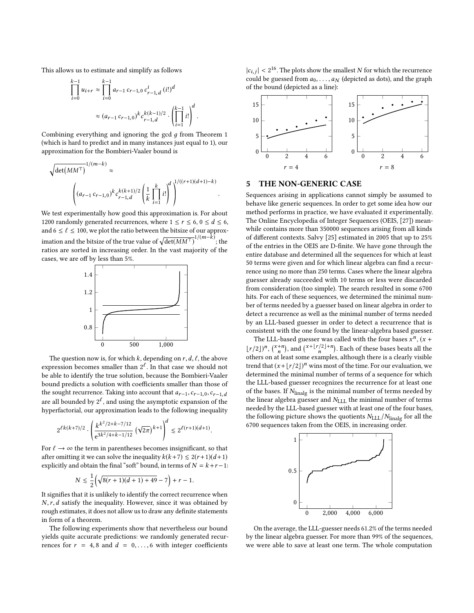This allows us to estimate and simplify as follows

$$
\prod_{i=0}^{k-1} u_{i+r} \approx \prod_{i=0}^{k-1} a_{r-1} c_{r-1,0} c_{r-1,d}^i (i!)^d
$$

$$
\approx (a_{r-1} c_{r-1,0})^k c_{r-1,d}^{k(k-1)/2} \cdot \left(\prod_{i=1}^{k-1} i!\right)^d.
$$

Combining everything and ignoring the gcd  $q$  from Theorem [1](#page-1-0) (which is hard to predict and in many instances just equal to 1), our approximation for the Bombieri-Vaaler bound is

$$
\sqrt{\det(MM^{\top})}^{1/(m-k)} \approx \left( (a_{r-1} c_{r-1,0})^k c_{r-1,d}^{k(k+1)/2} \left( \frac{1}{k} \prod_{i=1}^k i! \right)^{d} \right)^{1/((r+1)(d+1)-k)}
$$

We test experimentally how good this approximation is. For about 1200 randomly generated recurrences, where  $1 \le r \le 6, 0 \le d \le 6$ , and 6  $\leq \ell \leq$  100, we plot the ratio between the bitsize of our approximation and the bitsize of the true value of  $\sqrt{\det(MM^{\top})}^{1/(m-\hat{k})}$ ; the ratios are sorted in increasing order. In the vast majority of the ratios are sorted in increasing order. In the vast majority of the cases, we are off by less than 5%.



The question now is, for which k, depending on  $r, d, \ell$ , the above expression becomes smaller than  $2^{\ell}$ . In that case we should not be able to identify the true solution, because the Bombieri-Vaaler bound predicts a solution with coefficients smaller than those of the sought recurrence. Taking into account that  $a_{r-1}$ ,  $c_{r-1,0}$ ,  $c_{r-1,d}$ are all bounded by  $2^{\ell}$ , and using the asymptotic expansion of the hyperfactorial, our approximation leads to the following inequality

$$
2^{\ell k(k+7)/2} \cdot \left(\frac{k^{k^2/2+k-7/12}}{e^{3k^2/4+k-1/12}} \left(\sqrt{2\pi}\right)^{k+1}\right)^d \lesssim 2^{\ell(r+1)(d+1)}.
$$

For  $\ell \to \infty$  the term in parentheses becomes insignificant, so that after omitting it we can solve the inequality  $k(k+7) \leq 2(r+1)(d+1)$ explicitly and obtain the final "soft" bound, in terms of  $N = k+r-1$ :

$$
N \lesssim \frac{1}{2} \Bigl( \sqrt{8(r+1)(d+1)+49} -7 \Bigr) +r-1.
$$

It signifies that it is unlikely to identify the correct recurrence when  $N,r,d$  satisfy the inequality. However, since it was obtained by rough estimates, it does not allow us to draw any definite statements in form of a theorem.

The following experiments show that nevertheless our bound yields quite accurate predictions: we randomly generated recurrences for  $r = 4, 8$  and  $d = 0, \ldots, 6$  with integer coefficients

 $|c_{i,j}| < 2^{16}$ . The plots show the smallest N for which the recurrence<br>could be guessed from  $a_{\lambda}$  and depicted as dots) and the graph could be guessed from  $a_0, \ldots, a_N$  (depicted as dots), and the graph of the bound (depicted as a line):



# <span id="page-5-0"></span>5 THE NON-GENERIC CASE

Sequences arising in applications cannot simply be assumed to behave like generic sequences. In order to get some idea how our method performs in practice, we have evaluated it experimentally. The Online Encyclopedia of Integer Sequences (OEIS, [\[27\]](#page-7-28)) meanwhile contains more than 350000 sequences arising from all kinds of different contexts. Salvy [\[25\]](#page-7-29) estimated in 2005 that up to 25% of the entries in the OEIS are D-finite. We have gone through the entire database and determined all the sequences for which at least 50 terms were given and for which linear algebra can find a recurrence using no more than 250 terms. Cases where the linear algebra guesser already succeeded with 10 terms or less were discarded from consideration (too simple). The search resulted in some 6700 hits. For each of these sequences, we determined the minimal number of terms needed by a guesser based on linear algebra in order to detect a recurrence as well as the minimal number of terms needed by an LLL-based guesser in order to detect a recurrence that is consistent with the one found by the linear-algebra based guesser.

The LLL-based guesser was called with the four bases  $x^n$ ,  $(x + (a))n(x+n)$  and  $(x+|r/2|+n)$ . Each of these hases hasts all the  $\lfloor r/2 \rfloor$ <sup>n</sup>,  $\binom{x+n}{n}$ , and  $\binom{x+\lfloor r/2 \rfloor+n}{n}$ . Each of these bases beats all the others on at least some examples although there is a clearly visible n n others on at least some examples, although there is a clearly visible trend that  $(x+|r/2|)^n$  wins most of the time. For our evaluation, we determined the minimal number of terms of a sequence for which the LLL-based guesser recognizes the recurrence for at least one of the bases. If  $N_{\text{linear}}$  is the minimal number of terms needed by the linear algebra guesser and  $N_{\text{LLL}}$  the minimal number of terms needed by the LLL-based guesser with at least one of the four bases, the following picture shows the quotients  $N_{\text{LLL}}/N_{\text{linalg}}$  for all the 6700 sequences taken from the OEIS, in increasing order.



On the average, the LLL-guesser needs 61.2% of the terms needed by the linear algebra guesser. For more than 99% of the sequences, we were able to save at least one term. The whole computation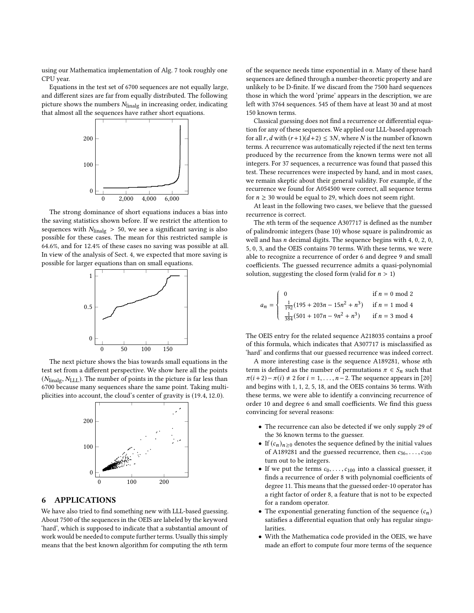using our Mathematica implementation of Alg. [7](#page-3-0) took roughly one CPU year.

Equations in the test set of 6700 sequences are not equally large, and different sizes are far from equally distributed. The following picture shows the numbers  $N_{\text{linear}}$  in increasing order, indicating that almost all the sequences have rather short equations.



The strong dominance of short equations induces a bias into the saving statistics shown before. If we restrict the attention to sequences with  $N_{\text{linear}} > 50$ , we see a significant saving is also possible for these cases. The mean for this restricted sample is 64.6%, and for 12.4% of these cases no saving was possible at all. In view of the analysis of Sect. [4,](#page-4-0) we expected that more saving is possible for larger equations than on small equations.



The next picture shows the bias towards small equations in the test set from a different perspective. We show here all the points  $(N_{\text{linalg}}, N_{\text{LLL}})$ . The number of points in the picture is far less than 6700 because many sequences share the same point. Taking multiplicities into account, the cloud's center of gravity is (19.4, <sup>12</sup>.0).



# 6 APPLICATIONS

We have also tried to find something new with LLL-based guessing. About 7500 of the sequences in the OEIS are labeled by the keyword 'hard', which is supposed to indicate that a substantial amount of work would be needed to compute further terms. Usually this simply means that the best known algorithm for computing the nth term

of the sequence needs time exponential in n. Many of these hard sequences are defined through a number-theoretic property and are unlikely to be D-finite. If we discard from the 7500 hard sequences those in which the word 'prime' appears in the description, we are left with 3764 sequences. 545 of them have at least 30 and at most 150 known terms.

Classical guessing does not find a recurrence or differential equation for any of these sequences. We applied our LLL-based approach for all r, d with  $(r+1)(d+2) \leq 3N$ , where N is the number of known terms. A recurrence was automatically rejected if the next ten terms produced by the recurrence from the known terms were not all integers. For 37 sequences, a recurrence was found that passed this test. These recurrences were inspected by hand, and in most cases, we remain skeptic about their general validity. For example, if the recurrence we found for A054500 were correct, all sequence terms for  $n \geq 30$  would be equal to 29, which does not seem right.

At least in the following two cases, we believe that the guessed recurrence is correct.

The nth term of the sequence A307717 is defined as the number of palindromic integers (base 10) whose square is palindromic as well and has  $n$  decimal digits. The sequence begins with 4, 0, 2, 0, 5, 0, 3, and the OEIS contains 70 terms. With these terms, we were able to recognize a recurrence of order 6 and degree 9 and small coefficients. The guessed recurrence admits a quasi-polynomial solution, suggesting the closed form (valid for  $n > 1$ )

$$
a_n = \begin{cases} 0 & \text{if } n = 0 \text{ mod } 2\\ \frac{1}{192}(195 + 203n - 15n^2 + n^3) & \text{if } n = 1 \text{ mod } 4\\ \frac{1}{384}(501 + 107n - 9n^2 + n^3) & \text{if } n = 3 \text{ mod } 4 \end{cases}
$$

The OEIS entry for the related sequence A218035 contains a proof of this formula, which indicates that A307717 is misclassified as 'hard' and confirms that our guessed recurrence was indeed correct.

A more interesting case is the sequence A189281, whose nth term is defined as the number of permutations  $\pi \in S_n$  such that  $\pi(i+2) - \pi(i) \neq 2$  for  $i = 1, \ldots, n-2$ . The sequence appears in [\[20\]](#page-7-30) and begins with 1, 1, 2, 5, 18, and the OEIS contains 36 terms. With these terms, we were able to identify a convincing recurrence of order 10 and degree 6 and small coefficients. We find this guess convincing for several reasons:

- The recurrence can also be detected if we only supply 29 of the 36 known terms to the guesser.
- If  $(c_n)_{n\geq 0}$  denotes the sequence defined by the initial values of A189281 and the guessed recurrence, then  $c_{36}, \ldots, c_{100}$ turn out to be integers.
- If we put the terms  $c_0, \ldots, c_{100}$  into a classical guesser, it finds a recurrence of order 8 with polynomial coefficients of degree 11. This means that the guessed order-10 operator has a right factor of order 8, a feature that is not to be expected for a random operator.
- The exponential generating function of the sequence  $(c_n)$ satisfies a differential equation that only has regular singularities.
- With the Mathematica code provided in the OEIS, we have made an effort to compute four more terms of the sequence